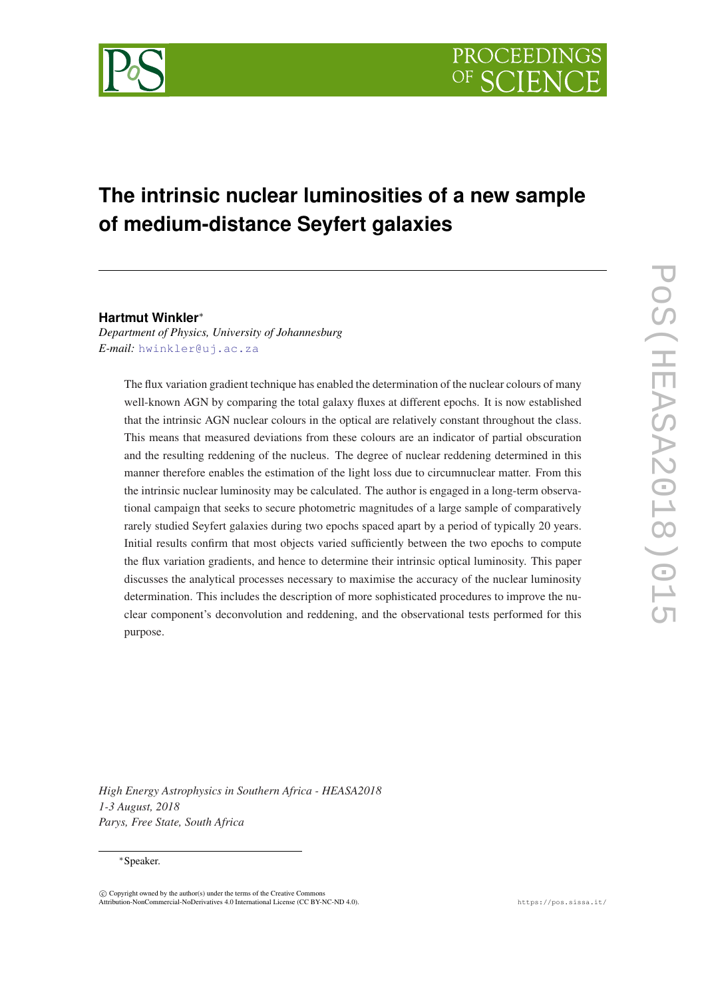

# **The intrinsic nuclear luminosities of a new sample of medium-distance Seyfert galaxies**

# **Hartmut Winkler**<sup>∗</sup>

*Department of Physics, University of Johannesburg E-mail:* [hwinkler@uj.ac.za](mailto:hwinkler@uj.ac.za)

> The flux variation gradient technique has enabled the determination of the nuclear colours of many well-known AGN by comparing the total galaxy fluxes at different epochs. It is now established that the intrinsic AGN nuclear colours in the optical are relatively constant throughout the class. This means that measured deviations from these colours are an indicator of partial obscuration and the resulting reddening of the nucleus. The degree of nuclear reddening determined in this manner therefore enables the estimation of the light loss due to circumnuclear matter. From this the intrinsic nuclear luminosity may be calculated. The author is engaged in a long-term observational campaign that seeks to secure photometric magnitudes of a large sample of comparatively rarely studied Seyfert galaxies during two epochs spaced apart by a period of typically 20 years. Initial results confirm that most objects varied sufficiently between the two epochs to compute the flux variation gradients, and hence to determine their intrinsic optical luminosity. This paper discusses the analytical processes necessary to maximise the accuracy of the nuclear luminosity determination. This includes the description of more sophisticated procedures to improve the nuclear component's deconvolution and reddening, and the observational tests performed for this purpose.

*High Energy Astrophysics in Southern Africa - HEASA2018 1-3 August, 2018 Parys, Free State, South Africa*

# <sup>∗</sup>Speaker.

 $\overline{c}$  Copyright owned by the author(s) under the terms of the Creative Common Attribution-NonCommercial-NoDerivatives 4.0 International License (CC BY-NC-ND 4.0). https://pos.sissa.it/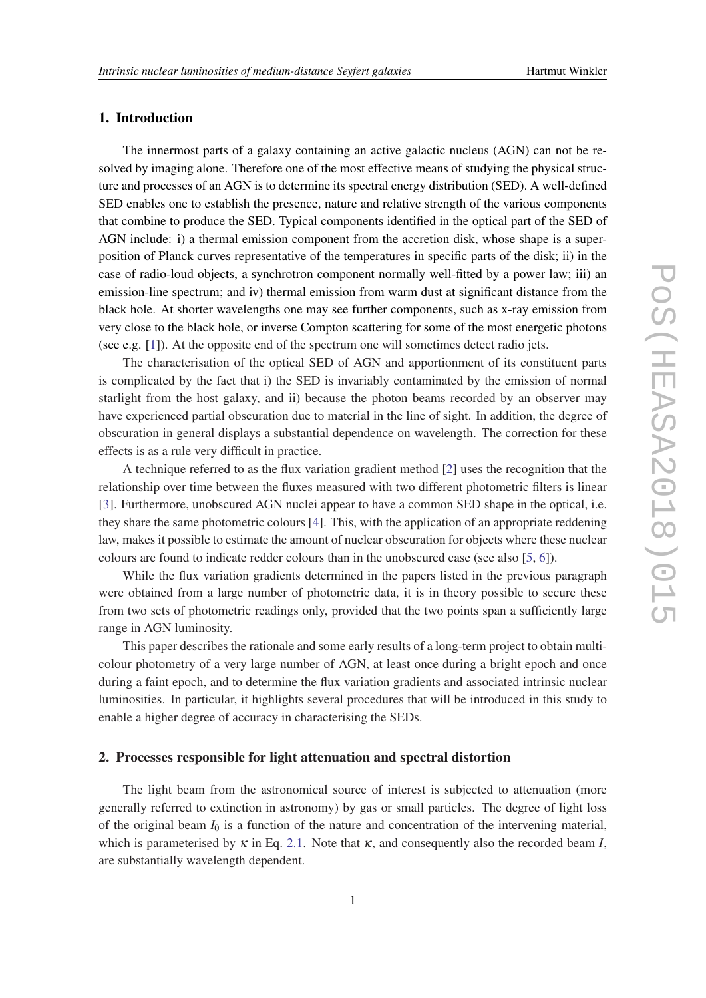# 1. Introduction

The innermost parts of a galaxy containing an active galactic nucleus (AGN) can not be resolved by imaging alone. Therefore one of the most effective means of studying the physical structure and processes of an AGN is to determine its spectral energy distribution (SED). A well-defined SED enables one to establish the presence, nature and relative strength of the various components that combine to produce the SED. Typical components identified in the optical part of the SED of AGN include: i) a thermal emission component from the accretion disk, whose shape is a superposition of Planck curves representative of the temperatures in specific parts of the disk; ii) in the case of radio-loud objects, a synchrotron component normally well-fitted by a power law; iii) an emission-line spectrum; and iv) thermal emission from warm dust at significant distance from the black hole. At shorter wavelengths one may see further components, such as x-ray emission from very close to the black hole, or inverse Compton scattering for some of the most energetic photons (see e.g. [\[1\]](#page-5-0)). At the opposite end of the spectrum one will sometimes detect radio jets.

The characterisation of the optical SED of AGN and apportionment of its constituent parts is complicated by the fact that i) the SED is invariably contaminated by the emission of normal starlight from the host galaxy, and ii) because the photon beams recorded by an observer may have experienced partial obscuration due to material in the line of sight. In addition, the degree of obscuration in general displays a substantial dependence on wavelength. The correction for these effects is as a rule very difficult in practice.

A technique referred to as the flux variation gradient method [[2](#page-5-0)] uses the recognition that the relationship over time between the fluxes measured with two different photometric filters is linear [[3](#page-5-0)]. Furthermore, unobscured AGN nuclei appear to have a common SED shape in the optical, i.e. they share the same photometric colours [[4](#page-5-0)]. This, with the application of an appropriate reddening law, makes it possible to estimate the amount of nuclear obscuration for objects where these nuclear colours are found to indicate redder colours than in the unobscured case (see also [[5](#page-5-0), [6](#page-5-0)]).

While the flux variation gradients determined in the papers listed in the previous paragraph were obtained from a large number of photometric data, it is in theory possible to secure these from two sets of photometric readings only, provided that the two points span a sufficiently large range in AGN luminosity.

This paper describes the rationale and some early results of a long-term project to obtain multicolour photometry of a very large number of AGN, at least once during a bright epoch and once during a faint epoch, and to determine the flux variation gradients and associated intrinsic nuclear luminosities. In particular, it highlights several procedures that will be introduced in this study to enable a higher degree of accuracy in characterising the SEDs.

# 2. Processes responsible for light attenuation and spectral distortion

The light beam from the astronomical source of interest is subjected to attenuation (more generally referred to extinction in astronomy) by gas or small particles. The degree of light loss of the original beam  $I_0$  is a function of the nature and concentration of the intervening material, which is parameterised by  $\kappa$  in Eq. [2.1.](#page-2-0) Note that  $\kappa$ , and consequently also the recorded beam *I*, are substantially wavelength dependent.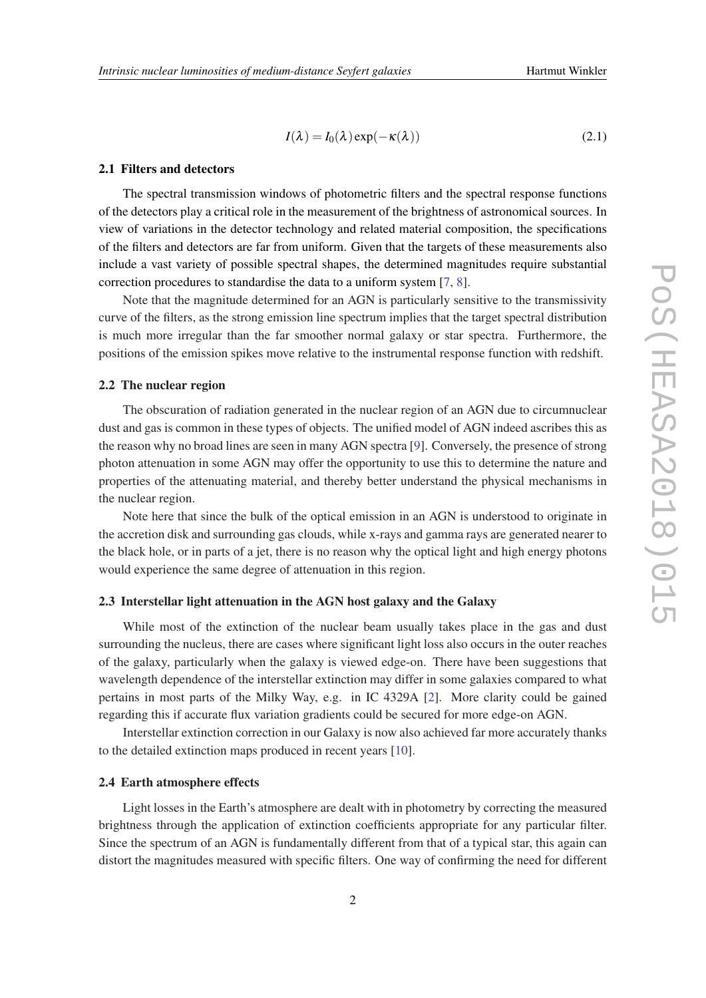$$
I(\lambda) = I_0(\lambda) \exp(-\kappa(\lambda))
$$
\n(2.1)

#### <span id="page-2-0"></span>2.1 Filters and detectors

The spectral transmission windows of photometric filters and the spectral response functions of the detectors play a critical role in the measurement of the brightness of astronomical sources. In view of variations in the detector technology and related material composition, the specifications of the filters and detectors are far from uniform. Given that the targets of these measurements also include a vast variety of possible spectral shapes, the determined magnitudes require substantial correction procedures to standardise the data to a uniform system [\[7,](#page-5-0) [8\]](#page-5-0).

Note that the magnitude determined for an AGN is particularly sensitive to the transmissivity curve of the filters, as the strong emission line spectrum implies that the target spectral distribution is much more irregular than the far smoother normal galaxy or star spectra. Furthermore, the positions of the emission spikes move relative to the instrumental response function with redshift.

# 2.2 The nuclear region

The obscuration of radiation generated in the nuclear region of an AGN due to circumnuclear dust and gas is common in these types of objects. The unified model of AGN indeed ascribes this as the reason why no broad lines are seen in many AGN spectra [\[9\]](#page-5-0). Conversely, the presence of strong photon attenuation in some AGN may offer the opportunity to use this to determine the nature and properties of the attenuating material, and thereby better understand the physical mechanisms in the nuclear region.

Note here that since the bulk of the optical emission in an AGN is understood to originate in the accretion disk and surrounding gas clouds, while x-rays and gamma rays are generated nearer to the black hole, or in parts of a jet, there is no reason why the optical light and high energy photons would experience the same degree of attenuation in this region.

# 2.3 Interstellar light attenuation in the AGN host galaxy and the Galaxy

While most of the extinction of the nuclear beam usually takes place in the gas and dust surrounding the nucleus, there are cases where significant light loss also occurs in the outer reaches of the galaxy, particularly when the galaxy is viewed edge-on. There have been suggestions that wavelength dependence of the interstellar extinction may differ in some galaxies compared to what pertains in most parts of the Milky Way, e.g. in IC 4329A [\[2\]](#page-5-0). More clarity could be gained regarding this if accurate flux variation gradients could be secured for more edge-on AGN.

Interstellar extinction correction in our Galaxy is now also achieved far more accurately thanks to the detailed extinction maps produced in recent years [\[10](#page-5-0)].

# 2.4 Earth atmosphere effects

Light losses in the Earth's atmosphere are dealt with in photometry by correcting the measured brightness through the application of extinction coefficients appropriate for any particular filter. Since the spectrum of an AGN is fundamentally different from that of a typical star, this again can distort the magnitudes measured with specific filters. One way of confirming the need for different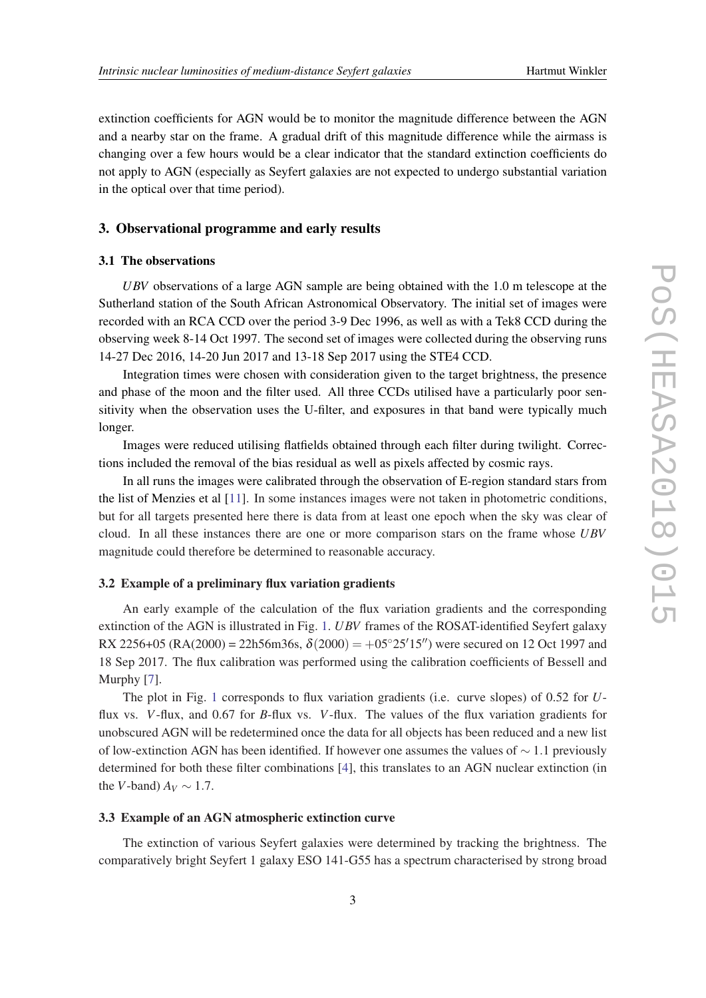extinction coefficients for AGN would be to monitor the magnitude difference between the AGN and a nearby star on the frame. A gradual drift of this magnitude difference while the airmass is changing over a few hours would be a clear indicator that the standard extinction coefficients do not apply to AGN (especially as Seyfert galaxies are not expected to undergo substantial variation in the optical over that time period).

# 3. Observational programme and early results

# 3.1 The observations

*UBV* observations of a large AGN sample are being obtained with the 1.0 m telescope at the Sutherland station of the South African Astronomical Observatory. The initial set of images were recorded with an RCA CCD over the period 3-9 Dec 1996, as well as with a Tek8 CCD during the observing week 8-14 Oct 1997. The second set of images were collected during the observing runs 14-27 Dec 2016, 14-20 Jun 2017 and 13-18 Sep 2017 using the STE4 CCD.

Integration times were chosen with consideration given to the target brightness, the presence and phase of the moon and the filter used. All three CCDs utilised have a particularly poor sensitivity when the observation uses the U-filter, and exposures in that band were typically much longer.

Images were reduced utilising flatfields obtained through each filter during twilight. Corrections included the removal of the bias residual as well as pixels affected by cosmic rays.

In all runs the images were calibrated through the observation of E-region standard stars from the list of Menzies et al [\[11](#page-5-0)]. In some instances images were not taken in photometric conditions, but for all targets presented here there is data from at least one epoch when the sky was clear of cloud. In all these instances there are one or more comparison stars on the frame whose *UBV* magnitude could therefore be determined to reasonable accuracy.

# 3.2 Example of a preliminary flux variation gradients

An early example of the calculation of the flux variation gradients and the corresponding extinction of the AGN is illustrated in Fig. [1](#page-4-0). *UBV* frames of the ROSAT-identified Seyfert galaxy RX 2256+05 (RA(2000) = 22h56m36s,  $\delta$ (2000) = +05°25'15") were secured on 12 Oct 1997 and 18 Sep 2017. The flux calibration was performed using the calibration coefficients of Bessell and Murphy [[7](#page-5-0)].

The plot in Fig. [1](#page-4-0) corresponds to flux variation gradients (i.e. curve slopes) of 0.52 for *U*flux vs. *V*-flux, and 0.67 for *B*-flux vs. *V*-flux. The values of the flux variation gradients for unobscured AGN will be redetermined once the data for all objects has been reduced and a new list of low-extinction AGN has been identified. If however one assumes the values of  $\sim$  1.1 previously determined for both these filter combinations [[4](#page-5-0)], this translates to an AGN nuclear extinction (in the *V*-band)  $A_V \sim 1.7$ .

#### 3.3 Example of an AGN atmospheric extinction curve

The extinction of various Seyfert galaxies were determined by tracking the brightness. The comparatively bright Seyfert 1 galaxy ESO 141-G55 has a spectrum characterised by strong broad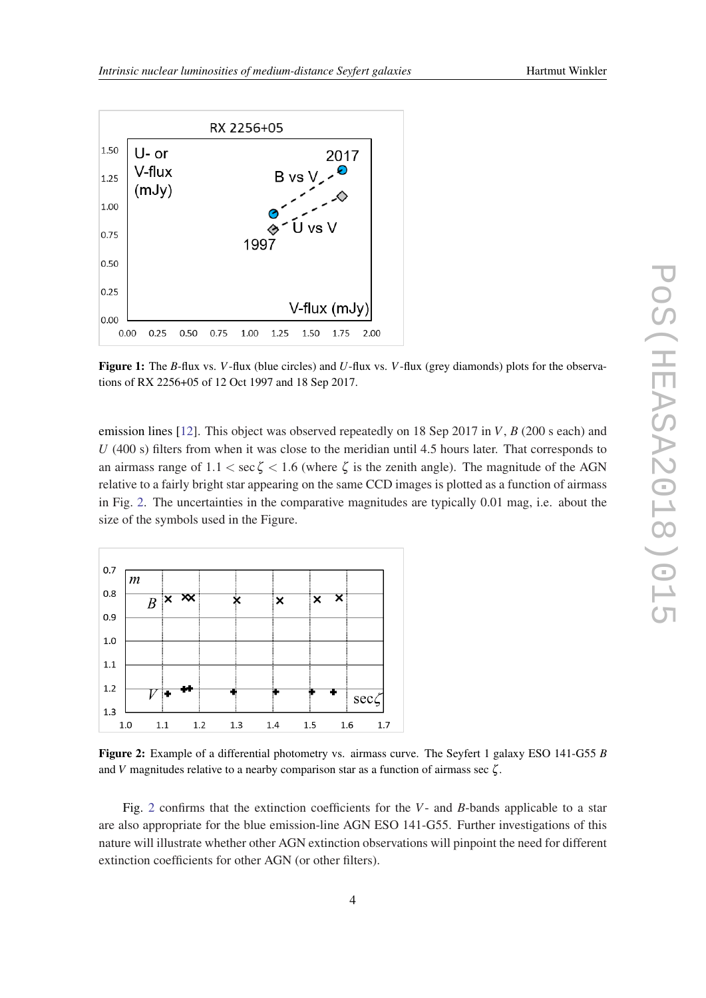<span id="page-4-0"></span>

Figure 1: The *B*-flux vs. *V*-flux (blue circles) and *U*-flux vs. *V*-flux (grey diamonds) plots for the observations of RX 2256+05 of 12 Oct 1997 and 18 Sep 2017.

emission lines [\[12\]](#page-5-0). This object was observed repeatedly on 18 Sep 2017 in *V*, *B* (200 s each) and *U* (400 s) filters from when it was close to the meridian until 4.5 hours later. That corresponds to an airmass range of  $1.1 < \sec \zeta < 1.6$  (where  $\zeta$  is the zenith angle). The magnitude of the AGN relative to a fairly bright star appearing on the same CCD images is plotted as a function of airmass in Fig. 2. The uncertainties in the comparative magnitudes are typically 0.01 mag, i.e. about the size of the symbols used in the Figure.



Figure 2: Example of a differential photometry vs. airmass curve. The Seyfert 1 galaxy ESO 141-G55 *B* and *V* magnitudes relative to a nearby comparison star as a function of airmass sec ζ .

Fig. 2 confirms that the extinction coefficients for the *V*- and *B*-bands applicable to a star are also appropriate for the blue emission-line AGN ESO 141-G55. Further investigations of this nature will illustrate whether other AGN extinction observations will pinpoint the need for different extinction coefficients for other AGN (or other filters).